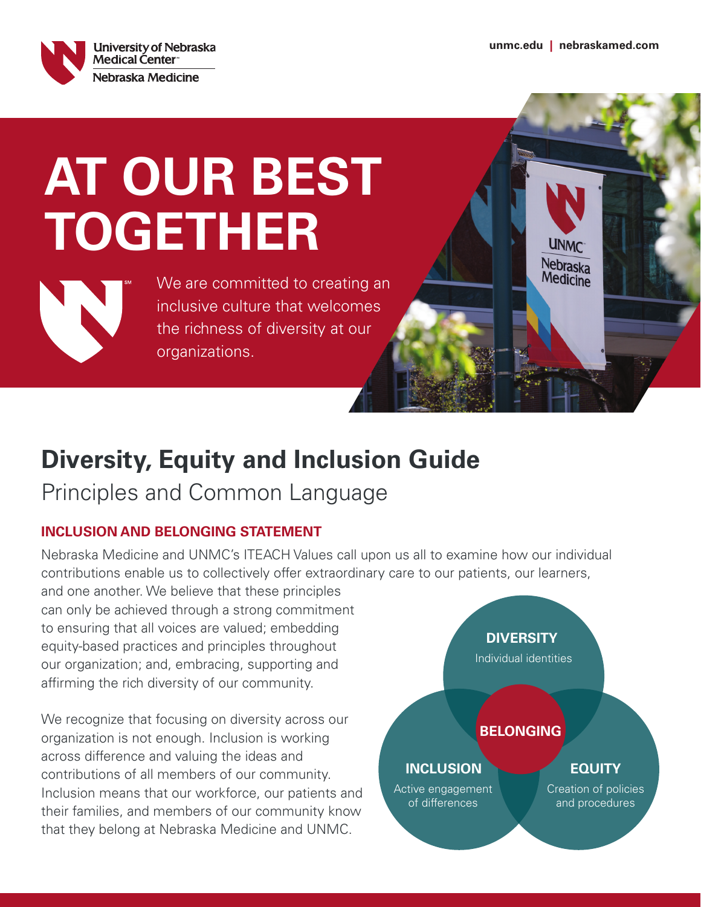**UNMC** Nebraska Medicine



# **AT OUR BEST TOGETHER**



We are committed to creating an inclusive culture that welcomes the richness of diversity at our organizations.

## **Diversity, Equity and Inclusion Guide**

Principles and Common Language

### **INCLUSION AND BELONGING STATEMENT**

Nebraska Medicine and UNMC's ITEACH Values call upon us all to examine how our individual contributions enable us to collectively offer extraordinary care to our patients, our learners,

and one another. We believe that these principles can only be achieved through a strong commitment to ensuring that all voices are valued; embedding equity-based practices and principles throughout our organization; and, embracing, supporting and affirming the rich diversity of our community.

We recognize that focusing on diversity across our organization is not enough. Inclusion is working across difference and valuing the ideas and contributions of all members of our community. Inclusion means that our workforce, our patients and their families, and members of our community know that they belong at Nebraska Medicine and UNMC.